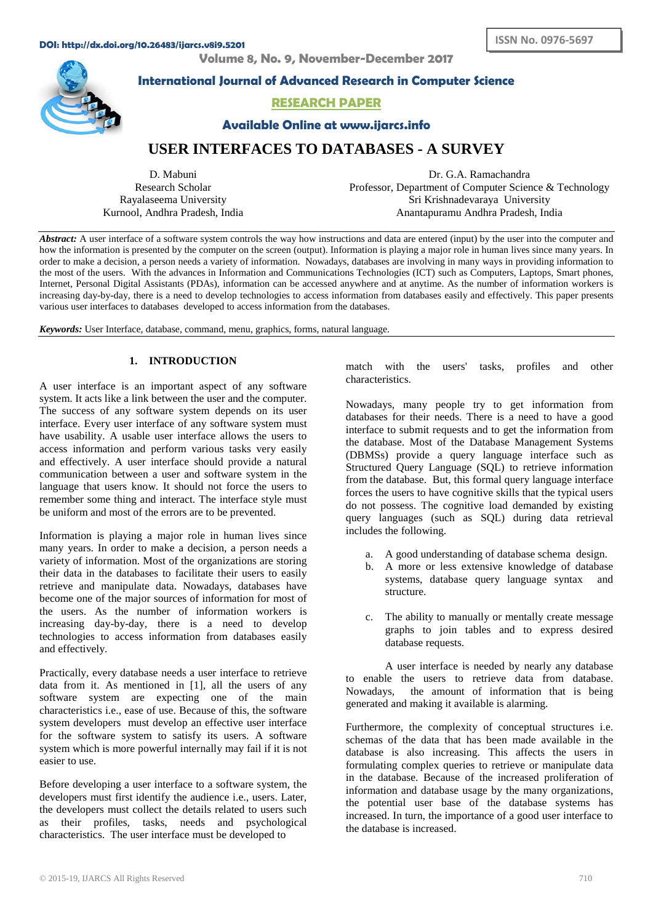#### **DOI: http://dx.doi.org/10.26483/ijarcs.v8i9.5201**

**Volume 8, No. 9, November-December 2017**



**International Journal of Advanced Research in Computer Science**

# **RESEARCH PAPER**

**Available Online at www.ijarcs.info**

# **USER INTERFACES TO DATABASES - A SURVEY**

D. Mabuni Research Scholar Rayalaseema University Kurnool, Andhra Pradesh, India

Dr. G.A. Ramachandra Professor, Department of Computer Science & Technology Sri Krishnadevaraya University Anantapuramu Andhra Pradesh, India

*Abstract:* A user interface of a software system controls the way how instructions and data are entered (input) by the user into the computer and how the information is presented by the computer on the screen (output). Information is playing a major role in human lives since many years. In order to make a decision, a person needs a variety of information. Nowadays, databases are involving in many ways in providing information to the most of the users. With the advances in Information and Communications Technologies (ICT) such as Computers, Laptops, Smart phones, Internet, Personal Digital Assistants (PDAs), information can be accessed anywhere and at anytime. As the number of information workers is increasing day-by-day, there is a need to develop technologies to access information from databases easily and effectively. This paper presents various user interfaces to databases developed to access information from the databases.

*Keywords:* User Interface, database, command, menu, graphics, forms, natural language.

# **1. INTRODUCTION**

A user interface is an important aspect of any software system. It acts like a link between the user and the computer. The success of any software system depends on its user interface. Every user interface of any software system must have usability. A usable user interface allows the users to access information and perform various tasks very easily and effectively. A user interface should provide a natural communication between a user and software system in the language that users know. It should not force the users to remember some thing and interact. The interface style must be uniform and most of the errors are to be prevented.

Information is playing a major role in human lives since many years. In order to make a decision, a person needs a variety of information. Most of the organizations are storing their data in the databases to facilitate their users to easily retrieve and manipulate data. Nowadays, databases have become one of the major sources of information for most of the users. As the number of information workers is increasing day-by-day, there is a need to develop technologies to access information from databases easily and effectively.

Practically, every database needs a user interface to retrieve data from it. As mentioned in [1], all the users of any software system are expecting one of the main characteristics i.e., ease of use. Because of this, the software system developers must develop an effective user interface for the software system to satisfy its users. A software system which is more powerful internally may fail if it is not easier to use.

Before developing a user interface to a software system, the developers must first identify the audience i.e., users. Later, the developers must collect the details related to users such as their profiles, tasks, needs and psychological characteristics. The user interface must be developed to

match with the users' tasks, profiles and other characteristics.

Nowadays, many people try to get information from databases for their needs. There is a need to have a good interface to submit requests and to get the information from the database. Most of the Database Management Systems (DBMSs) provide a query language interface such as Structured Query Language (SQL) to retrieve information from the database. But, this formal query language interface forces the users to have cognitive skills that the typical users do not possess. The cognitive load demanded by existing query languages (such as SQL) during data retrieval includes the following.

- a. A good understanding of database schema design.
- b. A more or less extensive knowledge of database systems, database query language syntax and structure.
- c. The ability to manually or mentally create message graphs to join tables and to express desired database requests.

A user interface is needed by nearly any database to enable the users to retrieve data from database. Nowadays, the amount of information that is being generated and making it available is alarming.

Furthermore, the complexity of conceptual structures i.e. schemas of the data that has been made available in the database is also increasing. This affects the users in formulating complex queries to retrieve or manipulate data in the database. Because of the increased proliferation of information and database usage by the many organizations, the potential user base of the database systems has increased. In turn, the importance of a good user interface to the database is increased.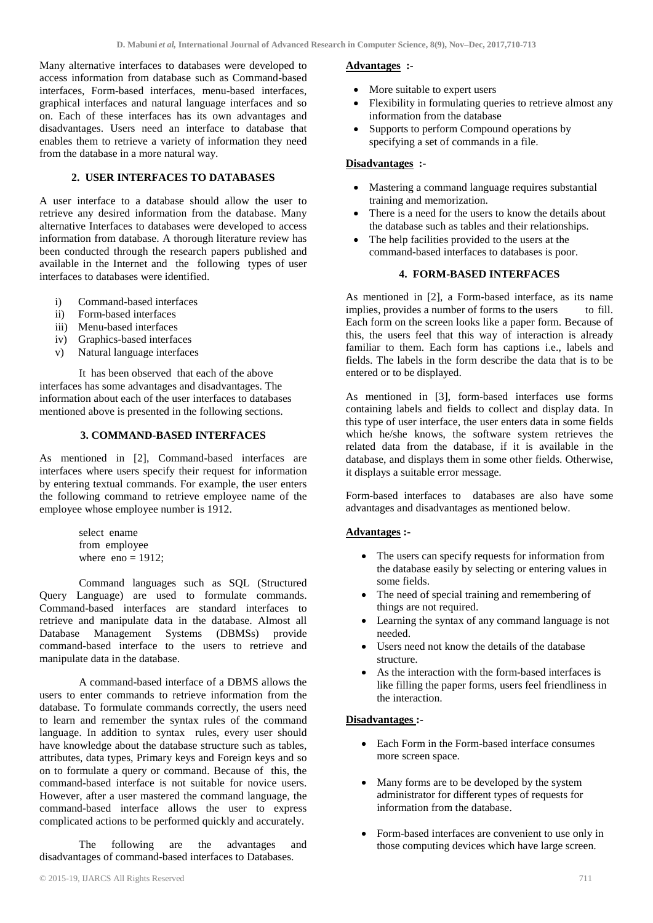Many alternative interfaces to databases were developed to access information from database such as Command-based interfaces, Form-based interfaces, menu-based interfaces, graphical interfaces and natural language interfaces and so on. Each of these interfaces has its own advantages and disadvantages. Users need an interface to database that enables them to retrieve a variety of information they need from the database in a more natural way.

## **2. USER INTERFACES TO DATABASES**

A user interface to a database should allow the user to retrieve any desired information from the database. Many alternative Interfaces to databases were developed to access information from database. A thorough literature review has been conducted through the research papers published and available in the Internet and the following types of user interfaces to databases were identified.

- i) Command-based interfaces
- ii) Form-based interfaces
- iii) Menu-based interfaces
- iv) Graphics-based interfaces
- v) Natural language interfaces

 It has been observed that each of the above interfaces has some advantages and disadvantages. The information about each of the user interfaces to databases mentioned above is presented in the following sections.

#### **3. COMMAND-BASED INTERFACES**

As mentioned in [2], Command-based interfaces are interfaces where users specify their request for information by entering textual commands. For example, the user enters the following command to retrieve employee name of the employee whose employee number is 1912.

> select ename from employee where  $eno = 1912$ ;

Command languages such as SQL (Structured Query Language) are used to formulate commands. Command-based interfaces are standard interfaces to retrieve and manipulate data in the database. Almost all Database Management Systems (DBMSs) provide command-based interface to the users to retrieve and manipulate data in the database.

A command-based interface of a DBMS allows the users to enter commands to retrieve information from the database. To formulate commands correctly, the users need to learn and remember the syntax rules of the command language. In addition to syntax rules, every user should have knowledge about the database structure such as tables, attributes, data types, Primary keys and Foreign keys and so on to formulate a query or command. Because of this, the command-based interface is not suitable for novice users. However, after a user mastered the command language, the command-based interface allows the user to express complicated actions to be performed quickly and accurately.

The following are the advantages and disadvantages of command-based interfaces to Databases.

#### **Advantages :-**

- More suitable to expert users
- Flexibility in formulating queries to retrieve almost any information from the database
- Supports to perform Compound operations by specifying a set of commands in a file.

#### **Disadvantages :-**

- Mastering a command language requires substantial training and memorization.
- There is a need for the users to know the details about the database such as tables and their relationships.
- The help facilities provided to the users at the command-based interfaces to databases is poor.

#### **4. FORM-BASED INTERFACES**

As mentioned in [2], a Form-based interface, as its name<br>implies provides a number of forms to the users to fill. implies, provides a number of forms to the users Each form on the screen looks like a paper form. Because of this, the users feel that this way of interaction is already familiar to them. Each form has captions i.e., labels and fields. The labels in the form describe the data that is to be entered or to be displayed.

As mentioned in [3], form-based interfaces use forms containing labels and fields to collect and display data. In this type of user interface, the user enters data in some fields which he/she knows, the software system retrieves the related data from the database, if it is available in the database, and displays them in some other fields. Otherwise, it displays a suitable error message.

Form-based interfaces to databases are also have some advantages and disadvantages as mentioned below.

### **Advantages :-**

- The users can specify requests for information from the database easily by selecting or entering values in some fields.
- The need of special training and remembering of things are not required.
- Learning the syntax of any command language is not needed.
- Users need not know the details of the database structure.
- As the interaction with the form-based interfaces is like filling the paper forms, users feel friendliness in the interaction.

### **Disadvantages :-**

- Each Form in the Form-based interface consumes more screen space.
- Many forms are to be developed by the system administrator for different types of requests for information from the database.
- Form-based interfaces are convenient to use only in those computing devices which have large screen.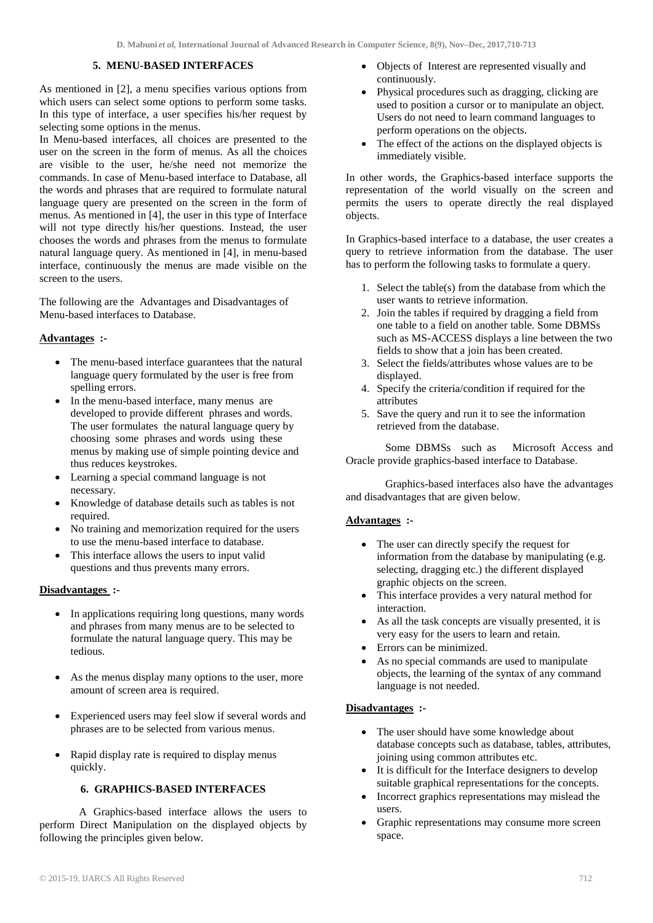#### **5. MENU-BASED INTERFACES**

As mentioned in [2], a menu specifies various options from which users can select some options to perform some tasks. In this type of interface, a user specifies his/her request by selecting some options in the menus.

In Menu-based interfaces, all choices are presented to the user on the screen in the form of menus. As all the choices are visible to the user, he/she need not memorize the commands. In case of Menu-based interface to Database, all the words and phrases that are required to formulate natural language query are presented on the screen in the form of menus. As mentioned in [4], the user in this type of Interface will not type directly his/her questions. Instead, the user chooses the words and phrases from the menus to formulate natural language query. As mentioned in [4], in menu-based interface, continuously the menus are made visible on the screen to the users.

The following are the Advantages and Disadvantages of Menu-based interfaces to Database.

### **Advantages :-**

- The menu-based interface guarantees that the natural language query formulated by the user is free from spelling errors.
- In the menu-based interface, many menus are developed to provide different phrases and words. The user formulates the natural language query by choosing some phrases and words using these menus by making use of simple pointing device and thus reduces keystrokes.
- Learning a special command language is not necessary.
- Knowledge of database details such as tables is not required.
- No training and memorization required for the users to use the menu-based interface to database.
- This interface allows the users to input valid questions and thus prevents many errors.

### **Disadvantages :-**

- In applications requiring long questions, many words and phrases from many menus are to be selected to formulate the natural language query. This may be tedious.
- As the menus display many options to the user, more amount of screen area is required.
- Experienced users may feel slow if several words and phrases are to be selected from various menus.
- Rapid display rate is required to display menus quickly.

# **6. GRAPHICS-BASED INTERFACES**

A Graphics-based interface allows the users to perform Direct Manipulation on the displayed objects by following the principles given below.

- Objects of Interest are represented visually and continuously.
- Physical procedures such as dragging, clicking are used to position a cursor or to manipulate an object. Users do not need to learn command languages to perform operations on the objects.
- The effect of the actions on the displayed objects is immediately visible.

In other words, the Graphics-based interface supports the representation of the world visually on the screen and permits the users to operate directly the real displayed objects.

In Graphics-based interface to a database, the user creates a query to retrieve information from the database. The user has to perform the following tasks to formulate a query.

- 1. Select the table(s) from the database from which the user wants to retrieve information.
- 2. Join the tables if required by dragging a field from one table to a field on another table. Some DBMSs such as MS-ACCESS displays a line between the two fields to show that a join has been created.
- 3. Select the fields/attributes whose values are to be displayed.
- 4. Specify the criteria/condition if required for the attributes
- 5. Save the query and run it to see the information retrieved from the database.

Some DBMSs such as Microsoft Access and Oracle provide graphics-based interface to Database.

Graphics-based interfaces also have the advantages and disadvantages that are given below.

### **Advantages :-**

- The user can directly specify the request for information from the database by manipulating (e.g. selecting, dragging etc.) the different displayed graphic objects on the screen.
- This interface provides a very natural method for interaction.
- As all the task concepts are visually presented, it is very easy for the users to learn and retain.
- Errors can be minimized.
- As no special commands are used to manipulate objects, the learning of the syntax of any command language is not needed.

### **Disadvantages :-**

- The user should have some knowledge about database concepts such as database, tables, attributes, joining using common attributes etc.
- It is difficult for the Interface designers to develop suitable graphical representations for the concepts.
- Incorrect graphics representations may mislead the users.
- Graphic representations may consume more screen space.